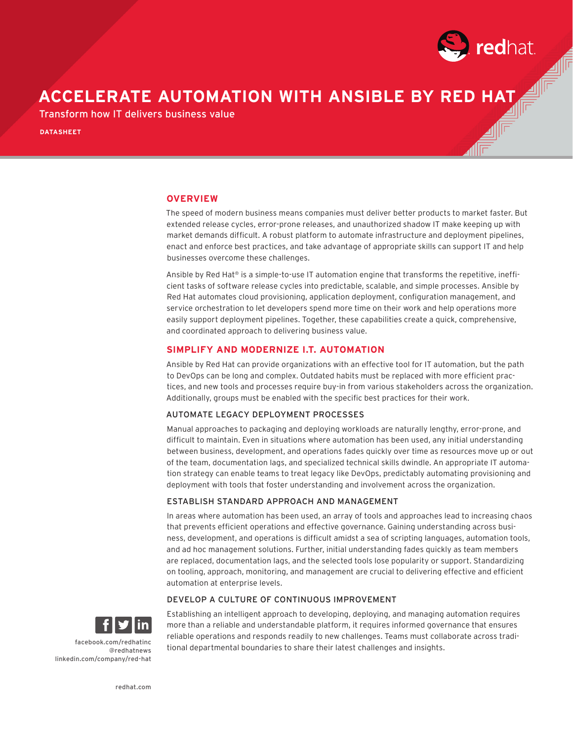

# **ACCELERATE AUTOMATION WITH ANSIBLE BY RED HAT**

Transform how IT delivers business value

**DATASHEET**

### **OVERVIEW**

The speed of modern business means companies must deliver better products to market faster. But extended release cycles, error-prone releases, and unauthorized shadow IT make keeping up with market demands difficult. A robust platform to automate infrastructure and deployment pipelines, enact and enforce best practices, and take advantage of appropriate skills can support IT and help businesses overcome these challenges.

Ansible by Red Hat® is a simple-to-use IT automation engine that transforms the repetitive, inefficient tasks of software release cycles into predictable, scalable, and simple processes. Ansible by Red Hat automates cloud provisioning, application deployment, configuration management, and service orchestration to let developers spend more time on their work and help operations more easily support deployment pipelines. Together, these capabilities create a quick, comprehensive, and coordinated approach to delivering business value.

#### **SIMPLIFY AND MODERNIZE I.T. AUTOMATION**

Ansible by Red Hat can provide organizations with an effective tool for IT automation, but the path to DevOps can be long and complex. Outdated habits must be replaced with more efficient practices, and new tools and processes require buy-in from various stakeholders across the organization. Additionally, groups must be enabled with the specific best practices for their work.

#### AUTOMATE LEGACY DEPLOYMENT PROCESSES

Manual approaches to packaging and deploying workloads are naturally lengthy, error-prone, and difficult to maintain. Even in situations where automation has been used, any initial understanding between business, development, and operations fades quickly over time as resources move up or out of the team, documentation lags, and specialized technical skills dwindle. An appropriate IT automation strategy can enable teams to treat legacy like DevOps, predictably automating provisioning and deployment with tools that foster understanding and involvement across the organization.

#### ESTABLISH STANDARD APPROACH AND MANAGEMENT

In areas where automation has been used, an array of tools and approaches lead to increasing chaos that prevents efficient operations and effective governance. Gaining understanding across business, development, and operations is difficult amidst a sea of scripting languages, automation tools, and ad hoc management solutions. Further, initial understanding fades quickly as team members are replaced, documentation lags, and the selected tools lose popularity or support. Standardizing on tooling, approach, monitoring, and management are crucial to delivering effective and efficient automation at enterprise levels.

#### DEVELOP A CULTURE OF CONTINUOUS IMPROVEMENT



Establishing an intelligent approach to developing, deploying, and managing automation requires more than a reliable and understandable platform, it requires informed governance that ensures reliable operations and responds readily to new challenges. Teams must collaborate across traditional departmental boundaries to share their latest challenges and insights.

facebook.com/redhatinc @redhatnews linkedin.com/company/red-hat

redhat.com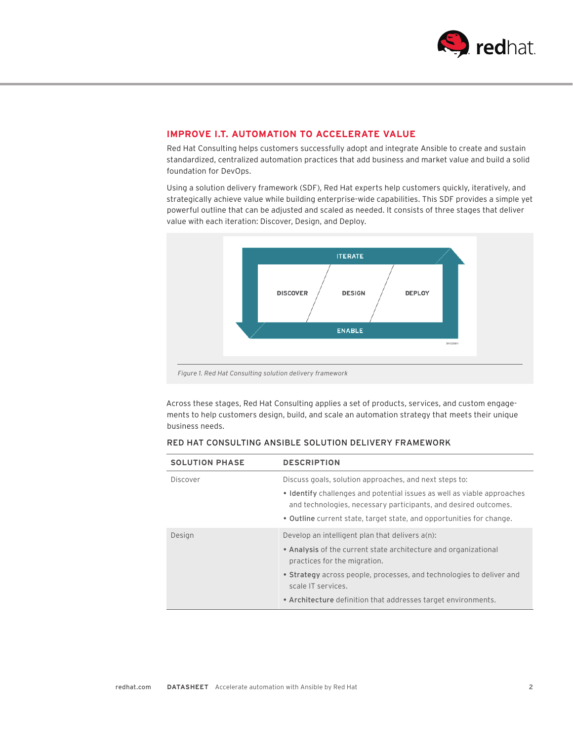

# **IMPROVE I.T. AUTOMATION TO ACCELERATE VALUE**

Red Hat Consulting helps customers successfully adopt and integrate Ansible to create and sustain standardized, centralized automation practices that add business and market value and build a solid foundation for DevOps.

Using a solution delivery framework (SDF), Red Hat experts help customers quickly, iteratively, and strategically achieve value while building enterprise-wide capabilities. This SDF provides a simple yet powerful outline that can be adjusted and scaled as needed. It consists of three stages that deliver value with each iteration: Discover, Design, and Deploy.



Across these stages, Red Hat Consulting applies a set of products, services, and custom engagements to help customers design, build, and scale an automation strategy that meets their unique business needs.

| <b>SOLUTION PHASE</b> | <b>DESCRIPTION</b>                                                                                                                         |
|-----------------------|--------------------------------------------------------------------------------------------------------------------------------------------|
| Discover              | Discuss goals, solution approaches, and next steps to:                                                                                     |
|                       | • Identify challenges and potential issues as well as viable approaches<br>and technologies, necessary participants, and desired outcomes. |
|                       | • Outline current state, target state, and opportunities for change.                                                                       |
| Design                | Develop an intelligent plan that delivers a(n):                                                                                            |
|                       | • Analysis of the current state architecture and organizational<br>practices for the migration.                                            |
|                       | • Strategy across people, processes, and technologies to deliver and<br>scale IT services.                                                 |
|                       | • Architecture definition that addresses target environments.                                                                              |

# RED HAT CONSULTING ANSIBLE SOLUTION DELIVERY FRAMEWORK